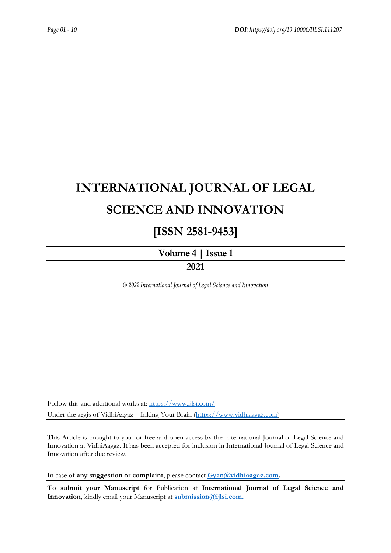# **INTERNATIONAL JOURNAL OF LEGAL SCIENCE AND INNOVATION**

## **[ISSN 2581-9453]**

**[Volume](https://ijlsi.com/publications/volume-iii-issue-vi) 4 | Issue 1**

### **2021**

*© 2022 International Journal of Legal Science and Innovation*

Follow this and additional works at: <https://www.ijlsi.com/> Under the aegis of VidhiAagaz – Inking Your Brain [\(https://www.vidhiaagaz.com\)](https://www.vidhiaagaz.com/)

This Article is brought to you for free and open access by the International Journal of Legal Science and Innovation at VidhiAagaz. It has been accepted for inclusion in International Journal of Legal Science and Innovation after due review.

In case of **any suggestion or complaint**, please contact **[Gyan@vidhiaagaz.com.](mailto:Gyan@vidhiaagaz.com)**

**To submit your Manuscript** for Publication at **International Journal of Legal Science and Innovation**, kindly email your Manuscript at **[submission@ijlsi.com.](mailto:submission@ijlsi.com)**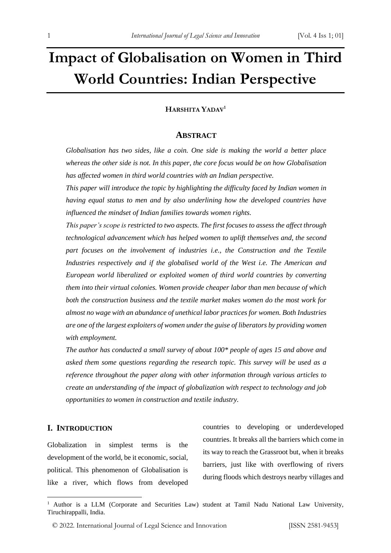# **Impact of Globalisation on Women in Third World Countries: Indian Perspective**

### **HARSHITA YADAV<sup>1</sup>**

### **ABSTRACT**

*Globalisation has two sides, like a coin. One side is making the world a better place whereas the other side is not. In this paper, the core focus would be on how Globalisation has affected women in third world countries with an Indian perspective.* 

*This paper will introduce the topic by highlighting the difficulty faced by Indian women in having equal status to men and by also underlining how the developed countries have influenced the mindset of Indian families towards women rights.* 

*This paper's scope is restricted to two aspects. The first focuses to assess the affect through technological advancement which has helped women to uplift themselves and, the second part focuses on the involvement of industries i.e., the Construction and the Textile Industries respectively and if the globalised world of the West i.e. The American and European world liberalized or exploited women of third world countries by converting them into their virtual colonies. Women provide cheaper labor than men because of which both the construction business and the textile market makes women do the most work for almost no wage with an abundance of unethical labor practices for women. Both Industries are one of the largest exploiters of women under the guise of liberators by providing women with employment.*

*The author has conducted a small survey of about 100\* people of ages 15 and above and asked them some questions regarding the research topic. This survey will be used as a reference throughout the paper along with other information through various articles to create an understanding of the impact of globalization with respect to technology and job opportunities to women in construction and textile industry.*

### **I. INTRODUCTION**

Globalization in simplest terms is the development of the world, be it economic, social, political. This phenomenon of Globalisation is like a river, which flows from developed countries to developing or underdeveloped countries. It breaks all the barriers which come in its way to reach the Grassroot but, when it breaks barriers, just like with overflowing of rivers during floods which destroys nearby villages and

<sup>&</sup>lt;sup>1</sup> Author is a LLM (Corporate and Securities Law) student at Tamil Nadu National Law University, Tiruchirappalli, India.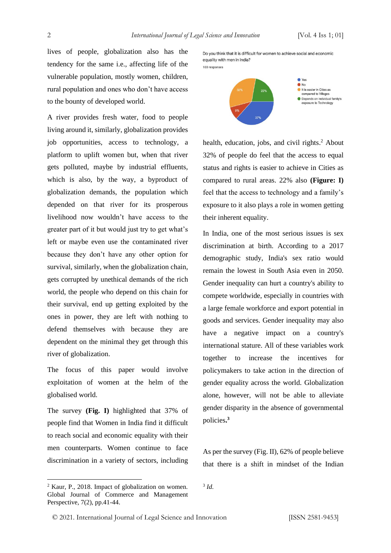lives of people, globalization also has the tendency for the same i.e., affecting life of the vulnerable population, mostly women, children, rural population and ones who don't have access to the bounty of developed world.

A river provides fresh water, food to people living around it, similarly, globalization provides job opportunities, access to technology, a platform to uplift women but, when that river gets polluted, maybe by industrial effluents, which is also, by the way, a byproduct of globalization demands, the population which depended on that river for its prosperous livelihood now wouldn't have access to the greater part of it but would just try to get what's left or maybe even use the contaminated river because they don't have any other option for survival, similarly, when the globalization chain, gets corrupted by unethical demands of the rich world, the people who depend on this chain for their survival, end up getting exploited by the ones in power, they are left with nothing to defend themselves with because they are dependent on the minimal they get through this river of globalization.

The focus of this paper would involve exploitation of women at the helm of the globalised world.

The survey **(Fig. I)** highlighted that 37% of people find that Women in India find it difficult to reach social and economic equality with their men counterparts. Women continue to face discrimination in a variety of sectors, including Do you think that it is difficult for women to achieve social and economic equality with men in India?





health, education, jobs, and civil rights. <sup>2</sup> About 32% of people do feel that the access to equal status and rights is easier to achieve in Cities as compared to rural areas. 22% also **(Figure: I)**  feel that the access to technology and a family's exposure to it also plays a role in women getting their inherent equality.

In India, one of the most serious issues is sex discrimination at birth. According to a 2017 demographic study, India's sex ratio would remain the lowest in South Asia even in 2050. Gender inequality can hurt a country's ability to compete worldwide, especially in countries with a large female workforce and export potential in goods and services. Gender inequality may also have a negative impact on a country's international stature. All of these variables work together to increase the incentives for policymakers to take action in the direction of gender equality across the world. Globalization alone, however, will not be able to alleviate gender disparity in the absence of governmental policies**. 3** 

As per the survey (Fig. II), 62% of people believe that there is a shift in mindset of the Indian

<sup>2</sup> Kaur, P., 2018. Impact of globalization on women. Global Journal of Commerce and Management Perspective, 7(2), pp.41-44.

<sup>3</sup> *Id.*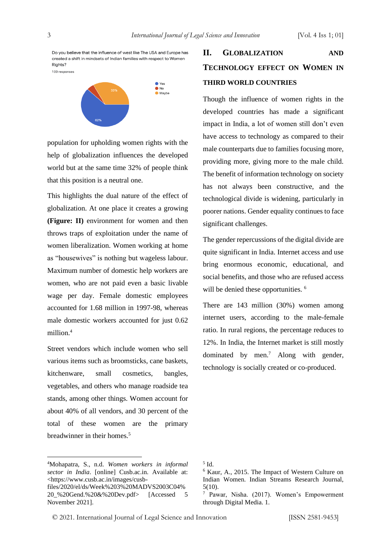Do you believe that the influence of west like The USA and Europe has created a shift in mindsets of Indian families with respect to Women Rights?

100 responses



population for upholding women rights with the help of globalization influences the developed world but at the same time 32% of people think that this position is a neutral one.

This highlights the dual nature of the effect of globalization. At one place it creates a growing **(Figure: II)** environment for women and then throws traps of exploitation under the name of women liberalization. Women working at home as "housewives" is nothing but wageless labour. Maximum number of domestic help workers are women, who are not paid even a basic livable wage per day. Female domestic employees accounted for 1.68 million in 1997-98, whereas male domestic workers accounted for just 0.62 million.<sup>4</sup>

Street vendors which include women who sell various items such as broomsticks, cane baskets, kitchenware, small cosmetics, bangles, vegetables, and others who manage roadside tea stands, among other things. Women account for about 40% of all vendors, and 30 percent of the total of these women are the primary breadwinner in their homes<sup>5</sup>

## **II. GLOBALIZATION AND TECHNOLOGY EFFECT ON WOMEN IN THIRD WORLD COUNTRIES**

Though the influence of women rights in the developed countries has made a significant impact in India, a lot of women still don't even have access to technology as compared to their male counterparts due to families focusing more, providing more, giving more to the male child. The benefit of information technology on society has not always been constructive, and the technological divide is widening, particularly in poorer nations. Gender equality continues to face significant challenges.

The gender repercussions of the digital divide are quite significant in India. Internet access and use bring enormous economic, educational, and social benefits, and those who are refused access will be denied these opportunities. <sup>6</sup>

There are 143 million (30%) women among internet users, according to the male-female ratio. In rural regions, the percentage reduces to 12%. In India, the Internet market is still mostly dominated by men.<sup>7</sup> Along with gender, technology is socially created or co-produced.

<sup>4</sup>Mohapatra, S., n.d. *Women workers in informal sector in India*. [online] Cusb.ac.in. Available at: <https://www.cusb.ac.in/images/cusbfiles/2020/el/ds/Week%203%20MADVS2003C04% 20\_%20Gend.%20&%20Dev.pdf> [Accessed 5 November 2021].

<sup>5</sup> Id.

<sup>6</sup> Kaur, A., 2015. The Impact of Western Culture on Indian Women. Indian Streams Research Journal, 5(10).

 $7$  Pawar, Nisha. (2017). Women's Empowerment through Digital Media. 1.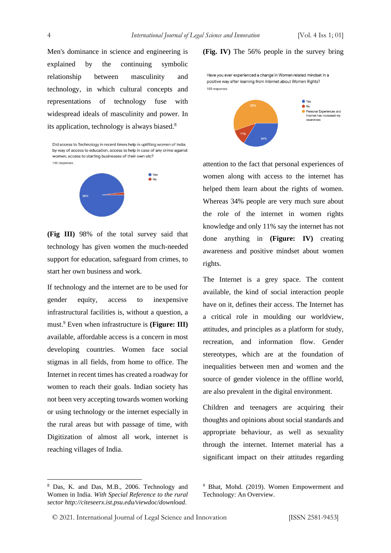Men's dominance in science and engineering is explained by the continuing symbolic relationship between masculinity and technology, in which cultural concepts and representations of technology fuse with widespread ideals of masculinity and power. In its application, technology is always biased.<sup>8</sup>

Did access to Technology in recent times help in uplifting women of India by way of access to education, access to belp in case of any crime against women, access to starting businesses of their own etc? 100 responses



**(Fig III)** 98% of the total survey said that technology has given women the much-needed support for education, safeguard from crimes, to start her own business and work.

If technology and the internet are to be used for gender equity, access to inexpensive infrastructural facilities is, without a question, a must.<sup>9</sup> Even when infrastructure is **(Figure: III)** available, affordable access is a concern in most developing countries. Women face social stigmas in all fields, from home to office. The Internet in recent times has created a roadway for women to reach their goals. Indian society has not been very accepting towards women working or using technology or the internet especially in the rural areas but with passage of time, with Digitization of almost all work, internet is reaching villages of India.

#### **(Fig. IV)** The 56% people in the survey bring

Have you ever experienced a change in Women related mindset in a positive way after learning from Internet about Women Rights? 100 responses



attention to the fact that personal experiences of women along with access to the internet has helped them learn about the rights of women. Whereas 34% people are very much sure about the role of the internet in women rights knowledge and only 11% say the internet has not done anything in **(Figure: IV)** creating awareness and positive mindset about women rights.

The Internet is a grey space. The content available, the kind of social interaction people have on it, defines their access. The Internet has a critical role in moulding our worldview, attitudes, and principles as a platform for study, recreation, and information flow. Gender stereotypes, which are at the foundation of inequalities between men and women and the source of gender violence in the offline world, are also prevalent in the digital environment.

Children and teenagers are acquiring their thoughts and opinions about social standards and appropriate behaviour, as well as sexuality through the internet. Internet material has a significant impact on their attitudes regarding

<sup>8</sup> Das, K. and Das, M.B., 2006. Technology and Women in India. *With Special Reference to the rural sector http://citeseerx.ist.psu.edu/viewdoc/download.*

<sup>9</sup> Bhat, Mohd. (2019). Women Empowerment and Technology: An Overview.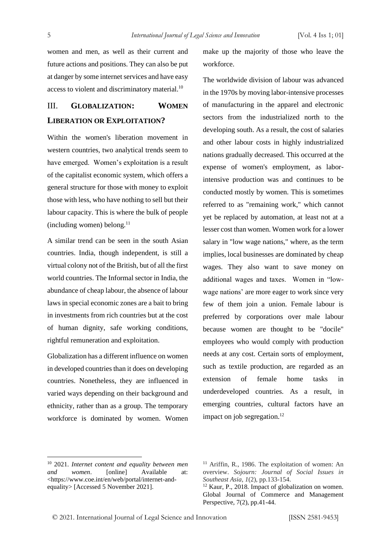women and men, as well as their current and future actions and positions. They can also be put at danger by some internet services and have easy access to violent and discriminatory material.<sup>10</sup>

### III. **GLOBALIZATION: WOMEN LIBERATION OR EXPLOITATION?**

Within the women's liberation movement in western countries, two analytical trends seem to have emerged. Women's exploitation is a result of the capitalist economic system, which offers a general structure for those with money to exploit those with less, who have nothing to sell but their labour capacity. This is where the bulk of people (including women) belong. $11$ 

A similar trend can be seen in the south Asian countries. India, though independent, is still a virtual colony not of the British, but of all the first world countries. The Informal sector in India, the abundance of cheap labour, the absence of labour laws in special economic zones are a bait to bring in investments from rich countries but at the cost of human dignity, safe working conditions, rightful remuneration and exploitation.

Globalization has a different influence on women in developed countries than it does on developing countries. Nonetheless, they are influenced in varied ways depending on their background and ethnicity, rather than as a group. The temporary workforce is dominated by women. Women

make up the majority of those who leave the workforce.

The worldwide division of labour was advanced in the 1970s by moving labor-intensive processes of manufacturing in the apparel and electronic sectors from the industrialized north to the developing south. As a result, the cost of salaries and other labour costs in highly industrialized nations gradually decreased. This occurred at the expense of women's employment, as laborintensive production was and continues to be conducted mostly by women. This is sometimes referred to as "remaining work," which cannot yet be replaced by automation, at least not at a lesser cost than women. Women work for a lower salary in "low wage nations," where, as the term implies, local businesses are dominated by cheap wages. They also want to save money on additional wages and taxes. Women in "lowwage nations' are more eager to work since very few of them join a union. Female labour is preferred by corporations over male labour because women are thought to be "docile" employees who would comply with production needs at any cost. Certain sorts of employment, such as textile production, are regarded as an extension of female home tasks in underdeveloped countries. As a result, in emerging countries, cultural factors have an impact on job segregation.<sup>12</sup>

<sup>10</sup> 2021. *Internet content and equality between men and women*. [online] Available at: <https://www.coe.int/en/web/portal/internet-andequality> [Accessed 5 November 2021].

<sup>&</sup>lt;sup>11</sup> Ariffin, R., 1986. The exploitation of women: An overview. *Sojourn: Journal of Social Issues in Southeast Asia*, *1*(2), pp.133-154.

<sup>&</sup>lt;sup>12</sup> Kaur, P., 2018. Impact of globalization on women. Global Journal of Commerce and Management Perspective, 7(2), pp.41-44.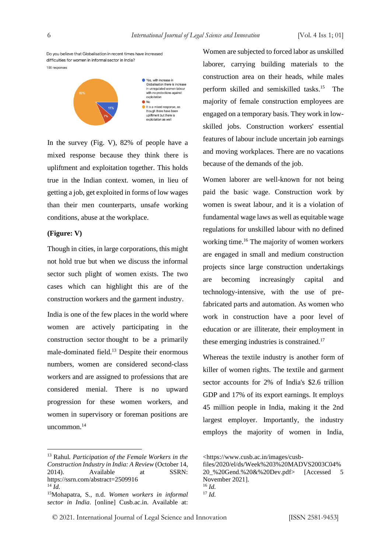Do you believe that Globalisation in recent times have increased difficulties for women in informal sector in India? 100 responses



In the survey (Fig. V), 82% of people have a mixed response because they think there is upliftment and exploitation together. This holds true in the Indian context. women, in lieu of getting a job, get exploited in forms of low wages than their men counterparts, unsafe working conditions, abuse at the workplace.

### **(Figure: V)**

Though in cities, in large corporations, this might not hold true but when we discuss the informal sector such plight of women exists. The two cases which can highlight this are of the construction workers and the garment industry.

India is one of the few places in the world where women are actively participating in the construction sector thought to be a primarily male-dominated field.<sup>13</sup> Despite their enormous numbers, women are considered second-class workers and are assigned to professions that are considered menial. There is no upward progression for these women workers, and women in supervisory or foreman positions are uncommon.<sup>14</sup>

Women are subjected to forced labor as unskilled laborer, carrying building materials to the construction area on their heads, while males perform skilled and semiskilled tasks.<sup>15</sup> The majority of female construction employees are engaged on a temporary basis. They work in lowskilled jobs. Construction workers' essential features of labour include uncertain job earnings and moving workplaces. There are no vacations because of the demands of the job.

Women laborer are well-known for not being paid the basic wage. Construction work by women is sweat labour, and it is a violation of fundamental wage laws as well as equitable wage regulations for unskilled labour with no defined working time.<sup>16</sup> The majority of women workers are engaged in small and medium construction projects since large construction undertakings are becoming increasingly capital and technology-intensive, with the use of prefabricated parts and automation. As women who work in construction have a poor level of education or are illiterate, their employment in these emerging industries is constrained.<sup>17</sup>

Whereas the textile industry is another form of killer of women rights. The textile and garment sector accounts for 2% of India's \$2.6 trillion GDP and 17% of its export earnings. It employs 45 million people in India, making it the 2nd largest employer. Importantly, the industry employs the majority of women in India,

<sup>13</sup> Rahul*. Participation of the Female Workers in the Construction Industry in India: A Review* (October 14, 2014). Available at SSRN: https://ssrn.com/abstract=2509916  $14 \overline{Id}$ 

<sup>15</sup>Mohapatra, S., n.d. *Women workers in informal sector in India*. [online] Cusb.ac.in. Available at:

<sup>&</sup>lt;https://www.cusb.ac.in/images/cusb-

files/2020/el/ds/Week%203%20MADVS2003C04% 20\_%20Gend.%20&%20Dev.pdf> [Accessed 5 November 2021]. <sup>16</sup> *Id.*

<sup>17</sup> *Id.*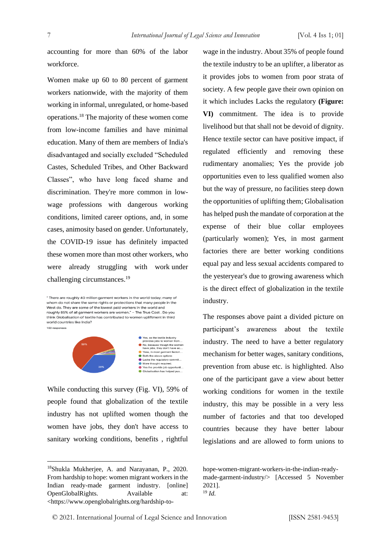accounting for more than 60% of the labor workforce.

Women make up 60 to 80 percent of garment workers nationwide, with the majority of them working in informal, unregulated, or home-based operations.<sup>18</sup> The majority of these women come from low-income families and have minimal education. Many of them are members of India's disadvantaged and socially excluded "Scheduled Castes, Scheduled Tribes, and Other Backward Classes", who have long faced shame and discrimination. They're more common in lowwage professions with dangerous working conditions, limited career options, and, in some cases, animosity based on gender. Unfortunately, the COVID-19 issue has definitely impacted these women more than most other workers, who were already struggling with work under challenging circumstances.<sup>19</sup>

" There are roughly 40 million garment workers in the world today: many of whom do not share the same rights or protections that many people in the West do. They are some of the lowest paid workers in the world and<br>roughly 85% of all garment workers are women." – The True Cost . Do you think Globalisation of textile has contributed to women upliftment in third world countries like India? 100 responses



While conducting this survey (Fig. VI), 59% of people found that globalization of the textile industry has not uplifted women though the women have jobs, they don't have access to sanitary working conditions, benefits , rightful

wage in the industry. About 35% of people found the textile industry to be an uplifter, a liberator as it provides jobs to women from poor strata of society. A few people gave their own opinion on it which includes Lacks the regulatory **(Figure: VI)** commitment. The idea is to provide livelihood but that shall not be devoid of dignity. Hence textile sector can have positive impact, if regulated efficiently and removing these rudimentary anomalies; Yes the provide job opportunities even to less qualified women also but the way of pressure, no facilities steep down the opportunities of uplifting them; Globalisation has helped push the mandate of corporation at the expense of their blue collar employees (particularly women); Yes, in most garment factories there are better working conditions equal pay and less sexual accidents compared to the yesteryear's due to growing awareness which is the direct effect of globalization in the textile industry.

The responses above paint a divided picture on participant's awareness about the textile industry. The need to have a better regulatory mechanism for better wages, sanitary conditions, prevention from abuse etc. is highlighted. Also one of the participant gave a view about better working conditions for women in the textile industry, this may be possible in a very less number of factories and that too developed countries because they have better labour legislations and are allowed to form unions to

hope-women-migrant-workers-in-the-indian-readymade-garment-industry/> [Accessed 5 November 2021]. <sup>19</sup> *Id.*

<sup>18</sup>Shukla Mukherjee, A. and Narayanan, P., 2020. From hardship to hope: women migrant workers in the Indian ready-made garment industry. [online] OpenGlobalRights. Available at: <https://www.openglobalrights.org/hardship-to-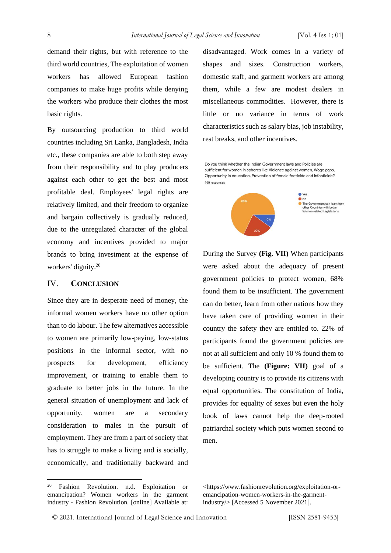demand their rights, but with reference to the third world countries, The exploitation of women workers has allowed European fashion companies to make huge profits while denying the workers who produce their clothes the most basic rights.

By outsourcing production to third world countries including Sri Lanka, Bangladesh, India etc., these companies are able to both step away from their responsibility and to play producers against each other to get the best and most profitable deal. Employees' legal rights are relatively limited, and their freedom to organize and bargain collectively is gradually reduced, due to the unregulated character of the global economy and incentives provided to major brands to bring investment at the expense of workers' dignity.<sup>20</sup>

### IV. **CONCLUSION**

Since they are in desperate need of money, the informal women workers have no other option than to do labour. The few alternatives accessible to women are primarily low-paying, low-status positions in the informal sector, with no prospects for development, efficiency improvement, or training to enable them to graduate to better jobs in the future. In the general situation of unemployment and lack of opportunity, women are a secondary consideration to males in the pursuit of employment. They are from a part of society that has to struggle to make a living and is socially, economically, and traditionally backward and disadvantaged. Work comes in a variety of shapes and sizes. Construction workers, domestic staff, and garment workers are among them, while a few are modest dealers in miscellaneous commodities. However, there is little or no variance in terms of work characteristics such as salary bias, job instability, rest breaks, and other incentives.

Do you think whether the Indian Government laws and Policies are sufficient for women in spheres like Violence against women, Wage gaps, Opportunity in education, Prevention of female foeticide and infanticide? 100 responses



During the Survey **(Fig. VII)** When participants were asked about the adequacy of present government policies to protect women, 68% found them to be insufficient. The government can do better, learn from other nations how they have taken care of providing women in their country the safety they are entitled to. 22% of participants found the government policies are not at all sufficient and only 10 % found them to be sufficient. The **(Figure: VII)** goal of a developing country is to provide its citizens with equal opportunities. The constitution of India, provides for equality of sexes but even the holy book of laws cannot help the deep-rooted patriarchal society which puts women second to men.

<https://www.fashionrevolution.org/exploitation-or-

<sup>20</sup> Fashion Revolution. n.d. Exploitation or emancipation? Women workers in the garment industry - Fashion Revolution. [online] Available at:

emancipation-women-workers-in-the-garmentindustry/> [Accessed 5 November 2021].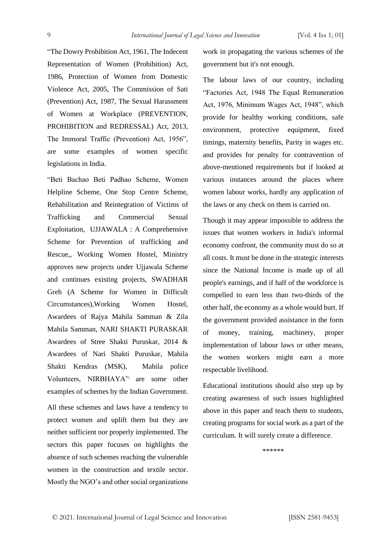"The Dowry Prohibition Act, 1961, The Indecent Representation of Women (Prohibition) Act, 1986, Protection of Women from Domestic Violence Act, 2005, The Commission of Sati (Prevention) Act, 1987, The Sexual Harassment of Women at Workplace (PREVENTION, PROHIBITION and REDRESSAL) Act, 2013, The Immoral Traffic (Prevention) Act, 1956", are some examples of women specific legislations in India.

"Beti Bachao Beti Padhao Scheme, Women Helpline Scheme, One Stop Centre Scheme, Rehabilitation and Reintegration of Victims of Trafficking and Commercial Sexual Exploitation, UJJAWALA : A Comprehensive Scheme for Prevention of trafficking and Rescue,, Working Women Hostel, Ministry approves new projects under Ujjawala Scheme and continues existing projects, SWADHAR Greh (A Scheme for Women in Difficult Circumstances),Working Women Hostel, Awardees of Rajya Mahila Samman & Zila Mahila Samman, NARI SHAKTI PURASKAR Awardees of Stree Shakti Puruskar, 2014 & Awardees of Nari Shakti Puruskar, Mahila Shakti Kendras (MSK), Mahila police Volunteers, NIRBHAYA", are some other examples of schemes by the Indian Government.

All these schemes and laws have a tendency to protect women and uplift them but they are neither sufficient nor properly implemented. The sectors this paper focuses on highlights the absence of such schemes reaching the vulnerable women in the construction and textile sector. Mostly the NGO's and other social organizations

work in propagating the various schemes of the government but it's not enough.

The labour laws of our country, including "Factories Act, 1948 The Equal Remuneration Act, 1976, Minimum Wages Act, 1948", which provide for healthy working conditions, safe environment, protective equipment, fixed timings, maternity benefits, Parity in wages etc. and provides for penalty for contravention of above-mentioned requirements but if looked at various instances around the places where women labour works, hardly any application of the laws or any check on them is carried on.

Though it may appear impossible to address the issues that women workers in India's informal economy confront, the community must do so at all costs. It must be done in the strategic interests since the National Income is made up of all people's earnings, and if half of the workforce is compelled to earn less than two-thirds of the other half, the economy as a whole would hurt. If the government provided assistance in the form of money, training, machinery, proper implementation of labour laws or other means, the women workers might earn a more respectable livelihood.

Educational institutions should also step up by creating awareness of such issues highlighted above in this paper and teach them to students, creating programs for social work as a part of the curriculum. It will surely create a difference.

\*\*\*\*\*\*